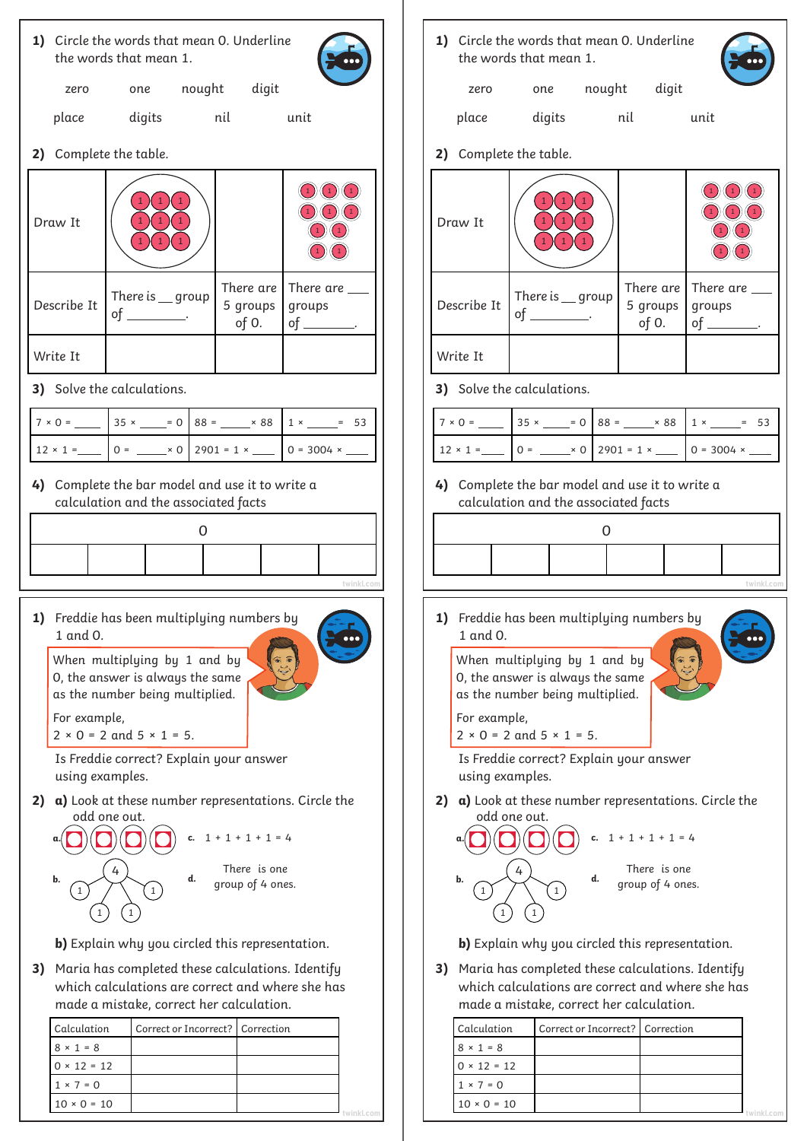| 1) Circle the words that mean 0. Underline<br>the words that mean 1. |                                                                                                                                                                                                                                                                                                                                                                                                                                                                                                             |  |                                         |        |                      |                                                            |                                                                                                                                                                                                                                                                                                   |  |                                                                                                                                                                                                                                                                                                                                                                                                                                                                               | 1) Circle the words that mean 0. Underline<br>the words that mean 1.                                                 |  |                                         |        |  |                   |                                                                                                                                                                                                                   |  |  |
|----------------------------------------------------------------------|-------------------------------------------------------------------------------------------------------------------------------------------------------------------------------------------------------------------------------------------------------------------------------------------------------------------------------------------------------------------------------------------------------------------------------------------------------------------------------------------------------------|--|-----------------------------------------|--------|----------------------|------------------------------------------------------------|---------------------------------------------------------------------------------------------------------------------------------------------------------------------------------------------------------------------------------------------------------------------------------------------------|--|-------------------------------------------------------------------------------------------------------------------------------------------------------------------------------------------------------------------------------------------------------------------------------------------------------------------------------------------------------------------------------------------------------------------------------------------------------------------------------|----------------------------------------------------------------------------------------------------------------------|--|-----------------------------------------|--------|--|-------------------|-------------------------------------------------------------------------------------------------------------------------------------------------------------------------------------------------------------------|--|--|
|                                                                      | zero                                                                                                                                                                                                                                                                                                                                                                                                                                                                                                        |  | one                                     | nought | digit                |                                                            |                                                                                                                                                                                                                                                                                                   |  |                                                                                                                                                                                                                                                                                                                                                                                                                                                                               | zero                                                                                                                 |  | one                                     | nought |  | digit             |                                                                                                                                                                                                                   |  |  |
|                                                                      | place                                                                                                                                                                                                                                                                                                                                                                                                                                                                                                       |  |                                         |        | digits nil           | unit                                                       |                                                                                                                                                                                                                                                                                                   |  |                                                                                                                                                                                                                                                                                                                                                                                                                                                                               | place                                                                                                                |  |                                         |        |  |                   | unit                                                                                                                                                                                                              |  |  |
|                                                                      | 2) Complete the table.                                                                                                                                                                                                                                                                                                                                                                                                                                                                                      |  |                                         |        |                      | 2) Complete the table.                                     |                                                                                                                                                                                                                                                                                                   |  |                                                                                                                                                                                                                                                                                                                                                                                                                                                                               |                                                                                                                      |  |                                         |        |  |                   |                                                                                                                                                                                                                   |  |  |
|                                                                      | Draw It                                                                                                                                                                                                                                                                                                                                                                                                                                                                                                     |  |                                         |        |                      | ( ( 1                                                      |                                                                                                                                                                                                                                                                                                   |  |                                                                                                                                                                                                                                                                                                                                                                                                                                                                               | Draw It                                                                                                              |  |                                         |        |  |                   |                                                                                                                                                                                                                   |  |  |
|                                                                      | Describe It                                                                                                                                                                                                                                                                                                                                                                                                                                                                                                 |  | There is $\_\$ group<br>of ___________. |        | 5 groups<br>of $0$ . | There are $ $ There are $\_\_$<br>groups<br>of __________. |                                                                                                                                                                                                                                                                                                   |  |                                                                                                                                                                                                                                                                                                                                                                                                                                                                               | Describe It                                                                                                          |  | There is $\_\$ group<br>of ___________. |        |  | 5 groups<br>of 0. | There are There are $\_\_$<br>groups<br>of ___________.                                                                                                                                                           |  |  |
|                                                                      | Write It                                                                                                                                                                                                                                                                                                                                                                                                                                                                                                    |  |                                         |        |                      |                                                            |                                                                                                                                                                                                                                                                                                   |  |                                                                                                                                                                                                                                                                                                                                                                                                                                                                               | Write It                                                                                                             |  |                                         |        |  |                   |                                                                                                                                                                                                                   |  |  |
|                                                                      | 3) Solve the calculations.                                                                                                                                                                                                                                                                                                                                                                                                                                                                                  |  |                                         |        |                      | 3) Solve the calculations.                                 |                                                                                                                                                                                                                                                                                                   |  |                                                                                                                                                                                                                                                                                                                                                                                                                                                                               |                                                                                                                      |  |                                         |        |  |                   |                                                                                                                                                                                                                   |  |  |
|                                                                      | $7 \times 0 =$ $\begin{array}{ c c c c c c c c } \hline 35 \times \end{array}$ = 0 88 = $\begin{array}{ c c c c c c c } \hline 88 & 1 \times \end{array}$ = 53                                                                                                                                                                                                                                                                                                                                              |  |                                         |        |                      |                                                            |                                                                                                                                                                                                                                                                                                   |  |                                                                                                                                                                                                                                                                                                                                                                                                                                                                               |                                                                                                                      |  |                                         |        |  |                   | $7 \times 0 =$ $\begin{array}{ c c c c c c c c } \hline \end{array}$ 35 × $\begin{array}{ c c c c c c } \hline = & 0 & 88 & \text{} \end{array}$ 88 $\begin{array}{ c c c c c } \hline 1 \times \end{array}$ = 53 |  |  |
| $12 \times 1 =$ 0 = ____ x 0 2901 = 1 x ___ 0 = 3004 x ___           |                                                                                                                                                                                                                                                                                                                                                                                                                                                                                                             |  |                                         |        |                      |                                                            |                                                                                                                                                                                                                                                                                                   |  |                                                                                                                                                                                                                                                                                                                                                                                                                                                                               |                                                                                                                      |  |                                         |        |  |                   |                                                                                                                                                                                                                   |  |  |
|                                                                      | 4) Complete the bar model and use it to write a<br>calculation and the associated facts<br>$\mathsf{O}$<br>twinkl.com                                                                                                                                                                                                                                                                                                                                                                                       |  |                                         |        |                      |                                                            |                                                                                                                                                                                                                                                                                                   |  |                                                                                                                                                                                                                                                                                                                                                                                                                                                                               | 4) Complete the bar model and use it to write a<br>calculation and the associated facts<br>$\mathbf 0$<br>twinkl.com |  |                                         |        |  |                   |                                                                                                                                                                                                                   |  |  |
|                                                                      | 1) Freddie has been multiplying numbers by<br>1 and 0.<br>When multiplying by 1 and by<br>0, the answer is always the same<br>as the number being multiplied.<br>For example,<br>$2 \times 0 = 2$ and $5 \times 1 = 5$ .<br>Is Freddie correct? Explain your answer<br>using examples.<br>2) a) Look at these number representations. Circle the<br>odd one out.<br>c. $1 + 1 + 1 + 1 = 4$<br>There is one<br>d.<br>b.<br>group of 4 ones.<br>$1\,$<br>1<br>b) Explain why you circled this representation. |  |                                         |        |                      |                                                            |                                                                                                                                                                                                                                                                                                   |  | 1) Freddie has been multiplying numbers by<br>1 and 0.<br>When multiplying by 1 and by<br>0, the answer is always the same<br>as the number being multiplied.<br>For example,<br>$2 \times 0 = 2$ and $5 \times 1 = 5$ .<br>Is Freddie correct? Explain your answer<br>using examples.<br>a) Look at these number representations. Circle the<br>2)<br>odd one out.<br>c. $1 + 1 + 1 + 1 = 4$<br>There is one<br>d.<br>b.<br>group of 4 ones.<br>$\mathbf{1}$<br>$\mathbf{1}$ |                                                                                                                      |  |                                         |        |  |                   |                                                                                                                                                                                                                   |  |  |
|                                                                      | 3) Maria has completed these calculations. Identify<br>which calculations are correct and where she has<br>made a mistake, correct her calculation.<br>Calculation<br>$8 \times 1 = 8$<br>$0 \times 12 = 12$                                                                                                                                                                                                                                                                                                |  | Correct or Incorrect?                   |        |                      |                                                            | b) Explain why you circled this representation.<br>3) Maria has completed these calculations. Identify<br>which calculations are correct and where she has<br>made a mistake, correct her calculation.<br>Calculation<br>Correct or Incorrect?<br>Correction<br>$8 × 1 = 8$<br>$0 \times 12 = 12$ |  |                                                                                                                                                                                                                                                                                                                                                                                                                                                                               |                                                                                                                      |  |                                         |        |  |                   |                                                                                                                                                                                                                   |  |  |

 $1 × 7 = 0$  $10 \times 0 = 10$ 

**[twinkl.com](https://www.twinkl.co.uk/resources/white-rose-maths-resources/year-4-white-rose-maths-resources-key-stage-1-year-1-year-2/autumn-block-4-multiplication-and-division-year-4-white-rose-maths-resources-key-stage-1-year-1-year-2) [twinkl.com](https://www.twinkl.co.uk/resources/white-rose-maths-resources/year-4-white-rose-maths-resources-key-stage-1-year-1-year-2/autumn-block-4-multiplication-and-division-year-4-white-rose-maths-resources-key-stage-1-year-1-year-2)**

٦

 $1 × 7 = 0$  $10 \times 0 = 10$